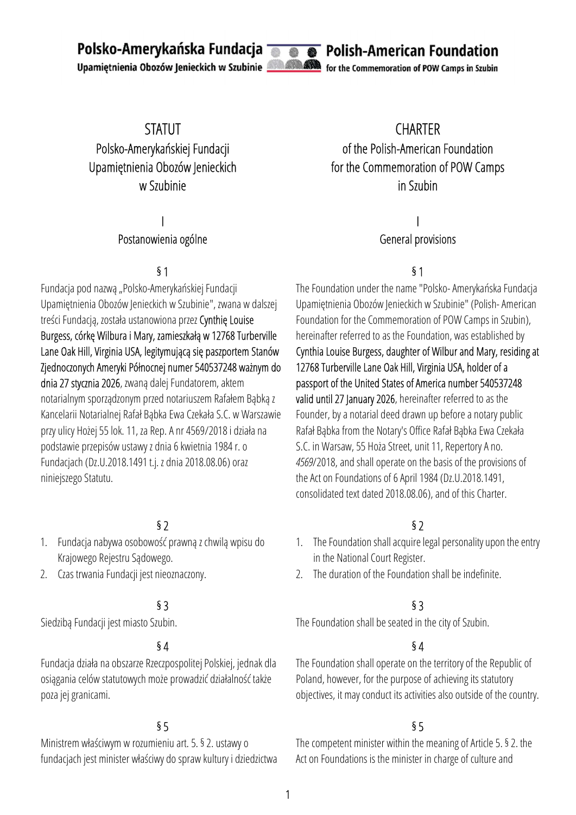Polsko-Amerykańska Fundacja **Talen** 

Upamiętnienia Obozów Jenieckich w Szubinie



Polish-American Foundation

for the Commemoration of POW Camps in Szubin

# STATUT Polsko-Amerykańskiej Fundacji Upamiętnienia Obozów Jenieckich w Szubinie

# I

### Postanowienia ogólne

Fundacja pod nazwą "Polsko-Amerykańskiej Fundacji Upamiętnienia Obozów Jenieckich w Szubinie", zwana w dalszej treści Fundacją, została ustanowiona przez Cynthię Louise Burgess, córkę Wilbura i Mary, zamieszkałą w 12768 Turberville Lane Oak Hill, Virginia USA, legitymującą się paszportem Stanów Zjednoczonych Ameryki Północnej numer 540537248 ważnym do dnia 27 stycznia 2026, zwaną dalej Fundatorem, aktem notarialnym sporządzonym przed notariuszem Rafałem Bąbką z Kancelarii Notarialnej Rafał Bąbka Ewa Czekała S.C. w Warszawie przy ulicy Hożej 55 lok. 11, za Rep. A nr 4569/2018 i działa na podstawie przepisów ustawy z dnia 6 kwietnia 1984 r. o Fundacjach (Dz.U.2018.1491 t.j. z dnia 2018.08.06) oraz niniejszego Statutu.

# $\frac{1}{2}$  \$2

- 1. Fundacja nabywa osobowość prawną z chwilą wpisu do Krajowego Rejestru Sądowego.
- 2. Czas trwania Fundacji jest nieoznaczony.

## $\overline{54}$   $\overline{54}$

Fundacja działa na obszarze Rzeczpospolitej Polskiej, jednak dla osiągania celów statutowych może prowadzić działalność także poza jej granicami.

Ministrem właściwym w rozumieniu art. 5. § 2. ustawy o fundacjach jest minister właściwy do spraw kultury i dziedzictwa

CHARTER of the Polish-American Foundation for the Commemoration of POW Camps in Szubin

> I General provisions

### $\overline{\phantom{0}}$  51  $\overline{\phantom{0}}$  51

The Foundation under the name "Polsko- Amerykańska Fundacja Upamiętnienia Obozów Jenieckich w Szubinie" (Polish- American Foundation for the Commemoration of POW Camps in Szubin), hereinafter referred to as the Foundation, was established by Cynthia Louise Burgess, daughter of Wilbur and Mary, residing at 12768 Turberville Lane Oak Hill, Virginia USA, holder of a passport of the United States of America number 540537248 valid until 27 January 2026, hereinafter referred to as the Founder, by a notarial deed drawn up before a notary public Rafał Bąbka from the Notary's Office Rafał Bąbka Ewa Czekała S.C. in Warsaw, 55 Hoża Street, unit 11, Repertory A no. 4569/2018, and shall operate on the basis of the provisions of the Act on Foundations of 6 April 1984 (Dz.U.2018.1491, consolidated text dated 2018.08.06), and of this Charter.

- 1. The Foundation shall acquire legal personality upon the entry in the National Court Register.
- 2. The duration of the Foundation shall be indefinite.

## $\S$  3  $\S$  3

Siedzibą Fundacji jest miasto Szubin. The Foundation shall be seated in the city of Szubin.

The Foundation shall operate on the territory of the Republic of Poland, however, for the purpose of achieving its statutory objectives, it may conduct its activities also outside of the country.

## $\S5$

The competent minister within the meaning of Article 5. § 2. the Act on Foundations is the minister in charge of culture and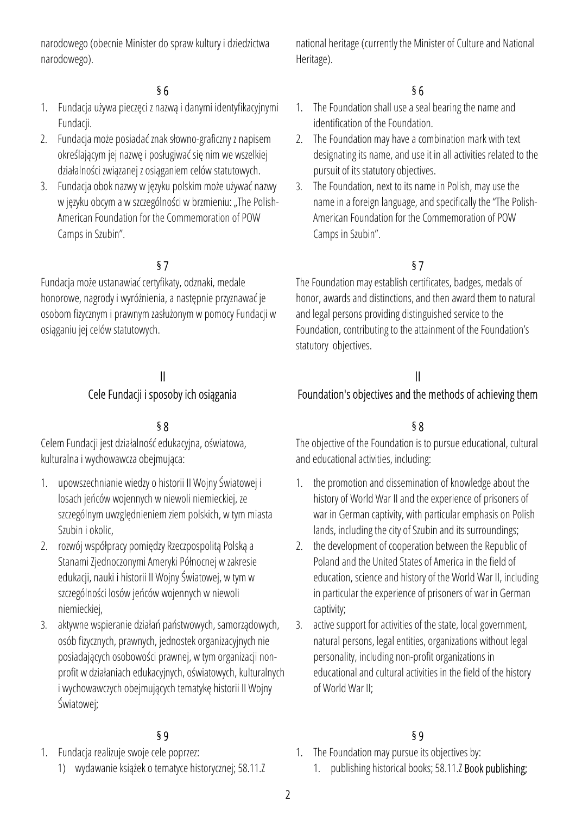narodowego (obecnie Minister do spraw kultury i dziedzictwa narodowego).

### $\overline{56}$   $\overline{56}$

- 1. Fundacja używa pieczęci z nazwą i danymi identyfikacyjnymi Fundacii.
- 2. Fundacja może posiadać znak słowno-graficzny z napisem określającym jej nazwę i posługiwać się nim we wszelkiej działalności związanej z osiąganiem celów statutowych.
- 3. Fundacja obok nazwy w języku polskim może używać nazwy w języku obcym a w szczególności w brzmieniu: "The Polish-American Foundation for the Commemoration of POW Camps in Szubin".

## $\S7$

Fundacja może ustanawiać certyfikaty, odznaki, medale honorowe, nagrody i wyróżnienia, a następnie przyznawać je osobom fizycznym i prawnym zasłużonym w pomocy Fundacji w osiąganiu jej celów statutowych.

## II Cele Fundacji i sposoby ich osiągania

### $\S 8$

Celem Fundacji jest działalność edukacyjna, oświatowa, kulturalna i wychowawcza obejmująca:

- 1. upowszechnianie wiedzy o historii II Wojny Światowej i losach jeńców wojennych w niewoli niemieckiej, ze szczególnym uwzględnieniem ziem polskich, w tym miasta Szubin i okolic,
- 2. rozwój współpracy pomiędzy Rzeczpospolitą Polską a Stanami Zjednoczonymi Ameryki Północnej w zakresie edukacji, nauki i historii II Wojny Światowej, w tym w szczególności losów jeńców wojennych w niewoli niemieckiej,
- 3. aktywne wspieranie działań państwowych, samorządowych, osób fizycznych, prawnych, jednostek organizacyjnych nie posiadających osobowości prawnej, w tym organizacji nonprofit w działaniach edukacyjnych, oświatowych, kulturalnych i wychowawczych obejmujących tematykę historii II Wojny Światowej;

- 1. Fundacja realizuje swoje cele poprzez:
	- 1) wydawanie książek o tematyce historycznej; 58.11.Z

national heritage (currently the Minister of Culture and National Heritage).

- 1. The Foundation shall use a seal bearing the name and identification of the Foundation.
- 2. The Foundation may have a combination mark with text designating its name, and use it in all activities related to the pursuit of its statutory objectives.
- 3. The Foundation, next to its name in Polish, may use the name in a foreign language, and specifically the "The Polish-American Foundation for the Commemoration of POW Camps in Szubin".

The Foundation may establish certificates, badges, medals of honor, awards and distinctions, and then award them to natural and legal persons providing distinguished service to the Foundation, contributing to the attainment of the Foundation's statutory objectives.

## II

### Foundation's objectives and the methods of achieving them

The objective of the Foundation is to pursue educational, cultural and educational activities, including:

- 1. the promotion and dissemination of knowledge about the history of World War II and the experience of prisoners of war in German captivity, with particular emphasis on Polish lands, including the city of Szubin and its surroundings;
- 2. the development of cooperation between the Republic of Poland and the United States of America in the field of education, science and history of the World War II, including in particular the experience of prisoners of war in German captivity;
- 3. active support for activities of the state, local government, natural persons, legal entities, organizations without legal personality, including non-profit organizations in educational and cultural activities in the field of the history of World War II;

### $\S 9$   $\S 9$

- 1. The Foundation may pursue its objectives by:
	- 1. publishing historical books; 58.11.Z Book publishing;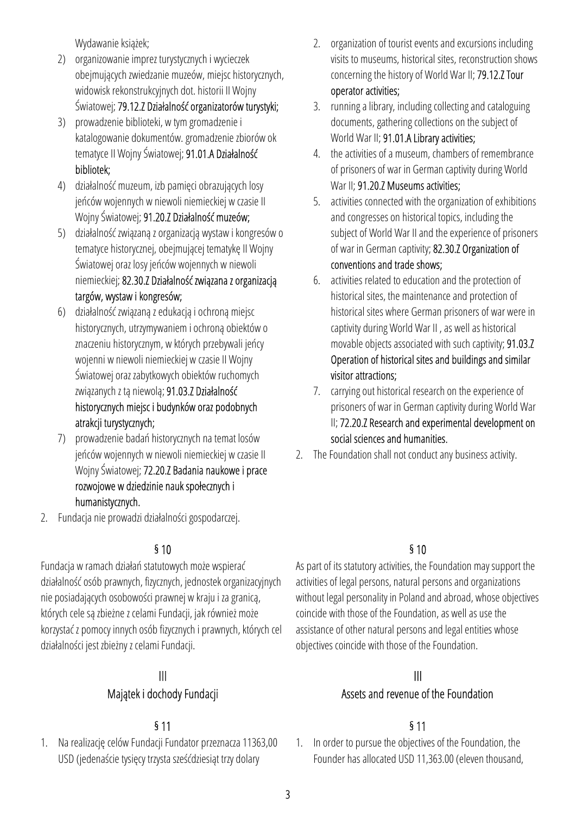Wydawanie książek;

- 2) organizowanie imprez turystycznych i wycieczek obejmujących zwiedzanie muzeów, miejsc historycznych, widowisk rekonstrukcyjnych dot. historii II Wojny Światowej; 79.12.Z Działalność organizatorów turystyki;
- 3) prowadzenie biblioteki, w tym gromadzenie i katalogowanie dokumentów. gromadzenie zbiorów ok tematyce II Wojny Światowej; 91.01.A Działalność bibliotek;
- 4) działalność muzeum, izb pamięci obrazujących losy jeńców wojennych w niewoli niemieckiej w czasie II Wojny Światowej; 91.20.Z Działalność muzeów;
- 5) działalność związaną z organizacją wystaw i kongresów o tematyce historycznej, obejmującej tematykę II Wojny Światowej oraz losy jeńców wojennych w niewoli niemieckiej; 82.30.Z Działalność związana z organizacją targów, wystaw i kongresów;
- 6) działalność związaną z edukacją i ochroną miejsc historycznych, utrzymywaniem i ochroną obiektów o znaczeniu historycznym, w których przebywali jeńcy wojenni w niewoli niemieckiej w czasie II Wojny Światowej oraz zabytkowych obiektów ruchomych związanych z tą niewolą; 91.03.Z Działalność historycznych miejsc i budynków oraz podobnych atrakcji turystycznych;
- 7) prowadzenie badań historycznych na temat losów jeńców wojennych w niewoli niemieckiej w czasie II Wojny Światowej; 72.20.Z Badania naukowe i prace rozwojowe w dziedzinie nauk społecznych i humanistycznych.
- 2. Fundacja nie prowadzi działalności gospodarczej.

Fundacja w ramach działań statutowych może wspierać działalność osób prawnych, fizycznych, jednostek organizacyjnych nie posiadających osobowości prawnej w kraju i za granicą, których cele są zbieżne z celami Fundacji, jak również może korzystać z pomocy innych osób fizycznych i prawnych, których cel działalności jest zbieżny z celami Fundacji.

### III Majątek i dochody Fundacji

1. Na realizację celów Fundacji Fundator przeznacza 11363,00 USD (jedenaście tysięcy trzysta sześćdziesiąt trzy dolary

- 2. organization of tourist events and excursions including visits to museums, historical sites, reconstruction shows concerning the history of World War II; 79.12.Z Tour operator activities;
- 3. running a library, including collecting and cataloguing documents, gathering collections on the subject of World War II; 91.01.A Library activities;
- 4. the activities of a museum, chambers of remembrance of prisoners of war in German captivity during World War II; 91.20.7 Museums activities;
- 5. activities connected with the organization of exhibitions and congresses on historical topics, including the subject of World War II and the experience of prisoners of war in German captivity; 82.30.Z Organization of conventions and trade shows;
- 6. activities related to education and the protection of historical sites, the maintenance and protection of historical sites where German prisoners of war were in captivity during World War II , as well as historical movable objects associated with such captivity; 91.03.Z Operation of historical sites and buildings and similar visitor attractions;
- 7. carrying out historical research on the experience of prisoners of war in German captivity during World War II; 72.20.Z Research and experimental development on social sciences and humanities.
- 2. The Foundation shall not conduct any business activity.

# $\frac{1}{2}$  5 10

As part of its statutory activities, the Foundation may support the activities of legal persons, natural persons and organizations without legal personality in Poland and abroad, whose objectives coincide with those of the Foundation, as well as use the assistance of other natural persons and legal entities whose objectives coincide with those of the Foundation.

# III

# Assets and revenue of the Foundation

# $\frac{1}{2}$  5 11

1. In order to pursue the objectives of the Foundation, the Founder has allocated USD 11,363.00 (eleven thousand,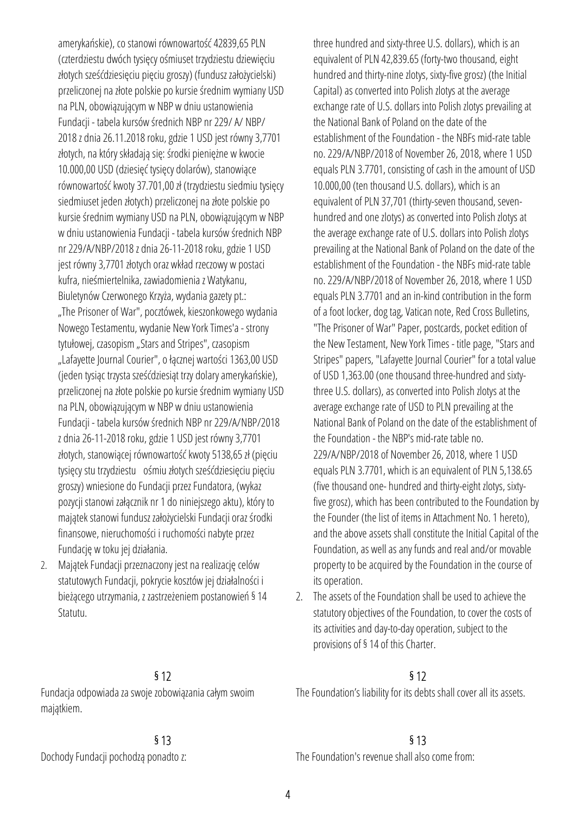amerykańskie), co stanowi równowartość 42839,65 PLN (czterdziestu dwóch tysięcy ośmiuset trzydziestu dziewięciu złotych sześćdziesięciu pięciu groszy) (fundusz założycielski) przeliczonej na złote polskie po kursie średnim wymiany USD na PLN, obowiązującym w NBP w dniu ustanowienia Fundacji - tabela kursów średnich NBP nr 229/ A/ NBP/ 2018 z dnia 26.11.2018 roku, gdzie 1 USD jest równy 3,7701 złotych, na który składają się: środki pieniężne w kwocie 10.000,00 USD (dziesięć tysięcy dolarów), stanowiące równowartość kwoty 37.701,00 zł (trzydziestu siedmiu tysięcy siedmiuset jeden złotych) przeliczonej na złote polskie po kursie średnim wymiany USD na PLN, obowiązującym w NBP w dniu ustanowienia Fundacji - tabela kursów średnich NBP nr 229/A/NBP/2018 z dnia 26-11-2018 roku, gdzie 1 USD jest równy 3,7701 złotych oraz wkład rzeczowy w postaci kufra, nieśmiertelnika, zawiadomienia z Watykanu, Biuletynów Czerwonego Krzyża, wydania gazety pt.: "The Prisoner of War", pocztówek, kieszonkowego wydania Nowego Testamentu, wydanie New York Times'a - strony tytułowej, czasopism "Stars and Stripes", czasopism "Lafayette Journal Courier", o łącznej wartości 1363,00 USD (jeden tysiąc trzysta sześćdziesiąt trzy dolary amerykańskie), przeliczonej na złote polskie po kursie średnim wymiany USD na PLN, obowiązującym w NBP w dniu ustanowienia Fundacji - tabela kursów średnich NBP nr 229/A/NBP/2018 z dnia 26-11-2018 roku, gdzie 1 USD jest równy 3,7701 złotych, stanowiącej równowartość kwoty 5138,65 zł (pięciu tysięcy stu trzydziestu ośmiu złotych sześćdziesięciu pięciu groszy) wniesione do Fundacji przez Fundatora, (wykaz pozycji stanowi załącznik nr 1 do niniejszego aktu), który to majątek stanowi fundusz założycielski Fundacji oraz środki finansowe, nieruchomości i ruchomości nabyte przez Fundację w toku jej działania.

2. Majątek Fundacji przeznaczony jest na realizację celów statutowych Fundacji, pokrycie kosztów jej działalności i bieżącego utrzymania, z zastrzeżeniem postanowień § 14 Statutu.

Fundacja odpowiada za swoje zobowiązania całym swoim majątkiem.

three hundred and sixty-three U.S. dollars), which is an equivalent of PLN 42,839.65 (forty-two thousand, eight hundred and thirty-nine zlotys, sixty-five grosz) (the Initial Capital) as converted into Polish zlotys at the average exchange rate of U.S. dollars into Polish zlotys prevailing at the National Bank of Poland on the date of the establishment of the Foundation - the NBFs mid-rate table no. 229/A/NBP/2018 of November 26, 2018, where 1 USD equals PLN 3.7701, consisting of cash in the amount of USD 10.000,00 (ten thousand U.S. dollars), which is an equivalent of PLN 37,701 (thirty-seven thousand, sevenhundred and one zlotys) as converted into Polish zlotys at the average exchange rate of U.S. dollars into Polish zlotys prevailing at the National Bank of Poland on the date of the establishment of the Foundation - the NBFs mid-rate table no. 229/A/NBP/2018 of November 26, 2018, where 1 USD equals PLN 3.7701 and an in-kind contribution in the form of a foot locker, dog tag, Vatican note, Red Cross Bulletins, "The Prisoner of War" Paper, postcards, pocket edition of the New Testament, New York Times - title page, "Stars and Stripes" papers, "Lafayette Journal Courier" for a total value of USD 1,363.00 (one thousand three-hundred and sixtythree U.S. dollars), as converted into Polish zlotys at the average exchange rate of USD to PLN prevailing at the National Bank of Poland on the date of the establishment of the Foundation - the NBP's mid-rate table no. 229/A/NBP/2018 of November 26, 2018, where 1 USD equals PLN 3.7701, which is an equivalent of PLN 5,138.65 (five thousand one- hundred and thirty-eight zlotys, sixtyfive grosz), which has been contributed to the Foundation by the Founder (the list of items in Attachment No. 1 hereto), and the above assets shall constitute the Initial Capital of the Foundation, as well as any funds and real and/or movable property to be acquired by the Foundation in the course of its operation.

2. The assets of the Foundation shall be used to achieve the statutory objectives of the Foundation, to cover the costs of its activities and day-to-day operation, subject to the provisions of § 14 of this Charter.

## $\frac{1}{2}$  \$12

The Foundation's liability for its debts shall cover all its assets.

## § 13 § 13

Dochody Fundacji pochodzą ponadto z: The Foundation's revenue shall also come from: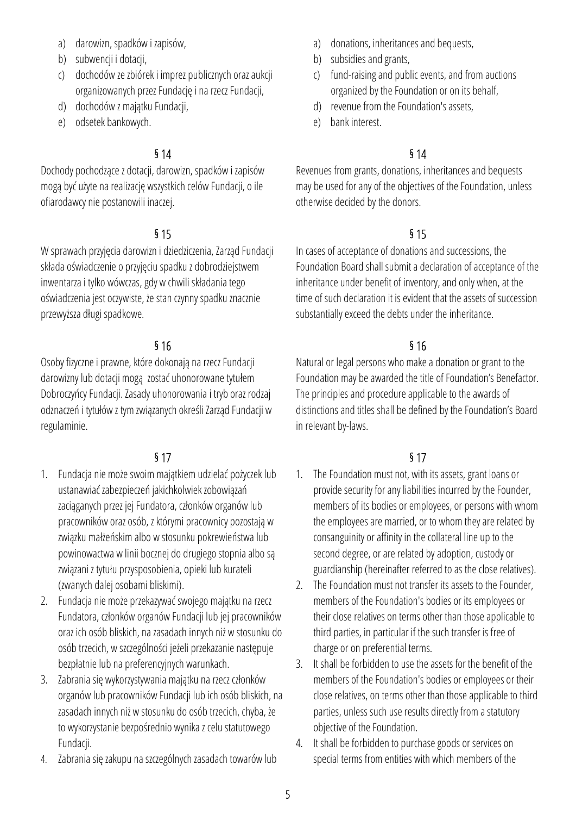- a) darowizn, spadków i zapisów,
- b) subwencji i dotacji,
- c) dochodów ze zbiórek i imprez publicznych oraz aukcji organizowanych przez Fundację i na rzecz Fundacji,
- d) dochodów z majątku Fundacji,
- e) odsetek bankowych.

Dochody pochodzące z dotacji, darowizn, spadków i zapisów mogą być użyte na realizację wszystkich celów Fundacji, o ile ofiarodawcy nie postanowili inaczej.

W sprawach przyjęcia darowizn i dziedziczenia, Zarząd Fundacji składa oświadczenie o przyjęciu spadku z dobrodziejstwem inwentarza i tylko wówczas, gdy w chwili składania tego oświadczenia jest oczywiste, że stan czynny spadku znacznie przewyższa długi spadkowe.

Osoby fizyczne i prawne, które dokonają na rzecz Fundacji darowizny lub dotacji mogą zostać uhonorowane tytułem Dobroczyńcy Fundacji. Zasady uhonorowania i tryb oraz rodzaj odznaczeń i tytułów z tym związanych określi Zarząd Fundacji w regulaminie.

# $\S 17$   $\S 17$

- 1. Fundacja nie może swoim majątkiem udzielać pożyczek lub ustanawiać zabezpieczeń jakichkolwiek zobowiązań zaciąganych przez jej Fundatora, członków organów lub pracowników oraz osób, z którymi pracownicy pozostają w związku małżeńskim albo w stosunku pokrewieństwa lub powinowactwa w linii bocznej do drugiego stopnia albo są związani z tytułu przysposobienia, opieki lub kurateli (zwanych dalej osobami bliskimi).
- 2. Fundacja nie może przekazywać swojego majątku na rzecz Fundatora, członków organów Fundacji lub jej pracowników oraz ich osób bliskich, na zasadach innych niż w stosunku do osób trzecich, w szczególności jeżeli przekazanie następuje bezpłatnie lub na preferencyjnych warunkach.
- 3. Zabrania się wykorzystywania majątku na rzecz członków organów lub pracowników Fundacji lub ich osób bliskich, na zasadach innych niż w stosunku do osób trzecich, chyba, że to wykorzystanie bezpośrednio wynika z celu statutowego Fundacji.
- 4. Zabrania się zakupu na szczególnych zasadach towarów lub
- a) donations, inheritances and bequests,
- b) subsidies and grants,
- c) fund-raising and public events, and from auctions organized by the Foundation or on its behalf,
- d) revenue from the Foundation's assets,
- e) bank interest.

## $\frac{1}{2}$  5 14

Revenues from grants, donations, inheritances and bequests may be used for any of the objectives of the Foundation, unless otherwise decided by the donors.

## $\frac{1}{5}$  15

In cases of acceptance of donations and successions, the Foundation Board shall submit a declaration of acceptance of the inheritance under benefit of inventory, and only when, at the time of such declaration it is evident that the assets of succession substantially exceed the debts under the inheritance.

## $\frac{1}{6}$  16

Natural or legal persons who make a donation or grant to the Foundation may be awarded the title of Foundation's Benefactor. The principles and procedure applicable to the awards of distinctions and titles shall be defined by the Foundation's Board in relevant by-laws.

- 1. The Foundation must not, with its assets, grant loans or provide security for any liabilities incurred by the Founder, members of its bodies or employees, or persons with whom the employees are married, or to whom they are related by consanguinity or affinity in the collateral line up to the second degree, or are related by adoption, custody or guardianship (hereinafter referred to as the close relatives).
- 2. The Foundation must not transfer its assets to the Founder, members of the Foundation's bodies or its employees or their close relatives on terms other than those applicable to third parties, in particular if the such transfer is free of charge or on preferential terms.
- 3. It shall be forbidden to use the assets for the benefit of the members of the Foundation's bodies or employees or their close relatives, on terms other than those applicable to third parties, unless such use results directly from a statutory objective of the Foundation.
- 4. It shall be forbidden to purchase goods or services on special terms from entities with which members of the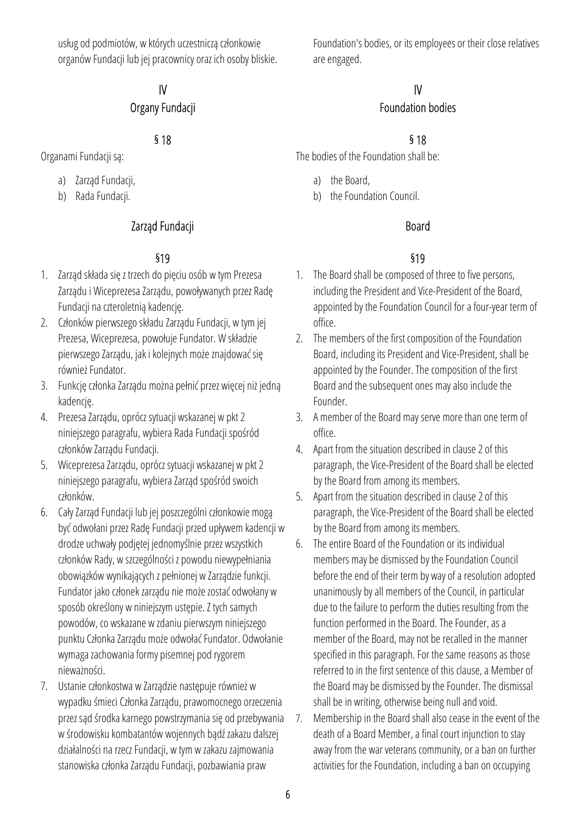usług od podmiotów, w których uczestniczą członkowie organów Fundacji lub jej pracownicy oraz ich osoby bliskie.

# IV

## Organy Fundacji

- a) Zarząd Fundacji,
- b) Rada Fundacji.

# Zarząd Fundacji **Board**

- 1. Zarząd składa się z trzech do pięciu osób w tym Prezesa Zarządu i Wiceprezesa Zarządu, powoływanych przez Radę Fundacji na czteroletnią kadencję.
- 2. Członków pierwszego składu Zarządu Fundacji, w tym jej Prezesa, Wiceprezesa, powołuje Fundator. W składzie pierwszego Zarządu, jak i kolejnych może znajdować się również Fundator.
- 3. Funkcję członka Zarządu można pełnić przez więcej niż jedną kadencję.
- 4. Prezesa Zarządu, oprócz sytuacji wskazanej w pkt 2 niniejszego paragrafu, wybiera Rada Fundacji spośród członków Zarządu Fundacji.
- 5. Wiceprezesa Zarządu, oprócz sytuacji wskazanej w pkt 2 niniejszego paragrafu, wybiera Zarząd spośród swoich członków.
- 6. Cały Zarząd Fundacji lub jej poszczególni członkowie mogą być odwołani przez Radę Fundacji przed upływem kadencji w drodze uchwały podjętej jednomyślnie przez wszystkich członków Rady, w szczególności z powodu niewypełniania obowiązków wynikających z pełnionej w Zarządzie funkcji. Fundator jako członek zarządu nie może zostać odwołany w sposób określony w niniejszym ustępie. Z tych samych powodów, co wskazane w zdaniu pierwszym niniejszego punktu Członka Zarządu może odwołać Fundator. Odwołanie wymaga zachowania formy pisemnej pod rygorem nieważności.
- 7. Ustanie członkostwa w Zarządzie następuje również w wypadku śmieci Członka Zarządu, prawomocnego orzeczenia przez sąd środka karnego powstrzymania się od przebywania w środowisku kombatantów wojennych bądź zakazu dalszej działalności na rzecz Fundacji, w tym w zakazu zajmowania stanowiska członka Zarządu Fundacji, pozbawiania praw

Foundation's bodies, or its employees or their close relatives are engaged.

## IV Foundation bodies

# § 18 § 18

Organami Fundacji są: The bodies of the Foundation shall be:

- a) the Board,
- b) the Foundation Council.

# §19 §19

- 1. The Board shall be composed of three to five persons, including the President and Vice-President of the Board, appointed by the Foundation Council for a four-year term of office.
- 2. The members of the first composition of the Foundation Board, including its President and Vice-President, shall be appointed by the Founder. The composition of the first Board and the subsequent ones may also include the Founder.
- 3. A member of the Board may serve more than one term of office.
- 4. Apart from the situation described in clause 2 of this paragraph, the Vice-President of the Board shall be elected by the Board from among its members.
- 5. Apart from the situation described in clause 2 of this paragraph, the Vice-President of the Board shall be elected by the Board from among its members.
- 6. The entire Board of the Foundation or its individual members may be dismissed by the Foundation Council before the end of their term by way of a resolution adopted unanimously by all members of the Council, in particular due to the failure to perform the duties resulting from the function performed in the Board. The Founder, as a member of the Board, may not be recalled in the manner specified in this paragraph. For the same reasons as those referred to in the first sentence of this clause, a Member of the Board may be dismissed by the Founder. The dismissal shall be in writing, otherwise being null and void.
- 7. Membership in the Board shall also cease in the event of the death of a Board Member, a final court injunction to stay away from the war veterans community, or a ban on further activities for the Foundation, including a ban on occupying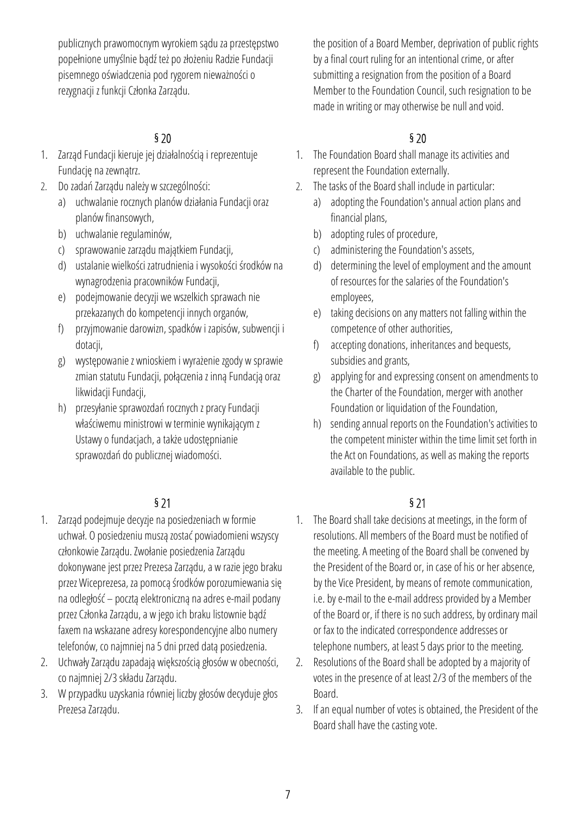publicznych prawomocnym wyrokiem sądu za przestępstwo popełnione umyślnie bądź też po złożeniu Radzie Fundacji pisemnego oświadczenia pod rygorem nieważności o rezygnacji z funkcji Członka Zarządu.

- 1. Zarząd Fundacji kieruje jej działalnością i reprezentuje Fundację na zewnątrz.
- 2. Do zadań Zarządu należy w szczególności:
	- a) uchwalanie rocznych planów działania Fundacji oraz planów finansowych,
	- b) uchwalanie regulaminów,
	- c) sprawowanie zarządu majątkiem Fundacji,
	- d) ustalanie wielkości zatrudnienia i wysokości środków na wynagrodzenia pracowników Fundacji,
	- e) podejmowanie decyzji we wszelkich sprawach nie przekazanych do kompetencji innych organów,
	- f) przyjmowanie darowizn, spadków i zapisów, subwencji i dotacji,
	- g) występowanie z wnioskiem i wyrażenie zgody w sprawie zmian statutu Fundacji, połączenia z inną Fundacją oraz likwidacji Fundacji,
	- h) przesyłanie sprawozdań rocznych z pracy Fundacji właściwemu ministrowi w terminie wynikającym z Ustawy o fundacjach, a także udostępnianie sprawozdań do publicznej wiadomości.

- 1. Zarząd podejmuje decyzje na posiedzeniach w formie uchwał. O posiedzeniu muszą zostać powiadomieni wszyscy członkowie Zarządu. Zwołanie posiedzenia Zarządu dokonywane jest przez Prezesa Zarządu, a w razie jego braku przez Wiceprezesa, za pomocą środków porozumiewania się na odległość – pocztą elektroniczną na adres e-mail podany przez Członka Zarządu, a w jego ich braku listownie bądź faxem na wskazane adresy korespondencyjne albo numery telefonów, co najmniej na 5 dni przed datą posiedzenia.
- 2. Uchwały Zarządu zapadają większością głosów w obecności, co najmniej 2/3 składu Zarządu.
- 3. W przypadku uzyskania równiej liczby głosów decyduje głos Prezesa Zarządu.

the position of a Board Member, deprivation of public rights by a final court ruling for an intentional crime, or after submitting a resignation from the position of a Board Member to the Foundation Council, such resignation to be made in writing or may otherwise be null and void.

## $\frac{1}{2}$  \$ 20

- 1. The Foundation Board shall manage its activities and represent the Foundation externally.
- 2. The tasks of the Board shall include in particular:
	- a) adopting the Foundation's annual action plans and financial plans,
	- b) adopting rules of procedure,
	- c) administering the Foundation's assets,
	- d) determining the level of employment and the amount of resources for the salaries of the Foundation's employees,
	- e) taking decisions on any matters not falling within the competence of other authorities,
	- f) accepting donations, inheritances and bequests, subsidies and grants,
	- g) applying for and expressing consent on amendments to the Charter of the Foundation, merger with another Foundation or liquidation of the Foundation,
	- h) sending annual reports on the Foundation's activities to the competent minister within the time limit set forth in the Act on Foundations, as well as making the reports available to the public.

## $\frac{1}{2}$  \$21

- 1. The Board shall take decisions at meetings, in the form of resolutions. All members of the Board must be notified of the meeting. A meeting of the Board shall be convened by the President of the Board or, in case of his or her absence, by the Vice President, by means of remote communication, i.e. by e-mail to the e-mail address provided by a Member of the Board or, if there is no such address, by ordinary mail or fax to the indicated correspondence addresses or telephone numbers, at least 5 days prior to the meeting.
- 2. Resolutions of the Board shall be adopted by a majority of votes in the presence of at least 2/3 of the members of the Board.
- 3. If an equal number of votes is obtained, the President of the Board shall have the casting vote.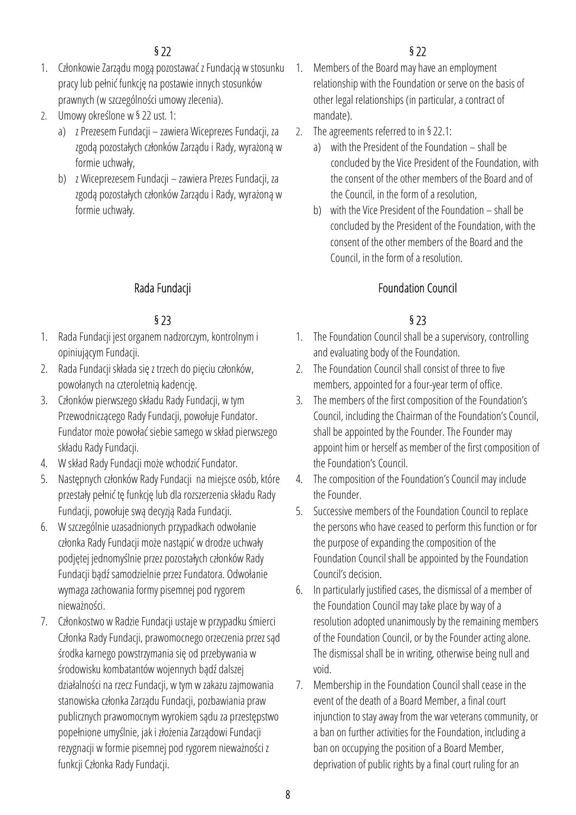## $\frac{1}{2}$  \$22

- 1. Członkowie Zarządu mogą pozostawać z Fundacją w stosunku pracy lub pełnić funkcję na postawie innych stosunków prawnych (w szczególności umowy zlecenia).
- 2. Umowy określone w § 22 ust. 1:
	- a) z Prezesem Fundacji zawiera Wiceprezes Fundacji, za zgodą pozostałych członków Zarządu i Rady, wyrażoną w formie uchwały,
	- b) z Wiceprezesem Fundacji zawiera Prezes Fundacji, za zgodą pozostałych członków Zarządu i Rady, wyrażoną w formie uchwały.

- 1. Rada Fundacji jest organem nadzorczym, kontrolnym i opiniującym Fundacji.
- 2. Rada Fundacji składa się z trzech do pięciu członków, powołanych na czteroletnią kadencję.
- 3. Członków pierwszego składu Rady Fundacji, w tym Przewodniczącego Rady Fundacji, powołuje Fundator. Fundator może powołać siebie samego w skład pierwszego składu Rady Fundacji.
- 4. W skład Rady Fundacji może wchodzić Fundator.
- 5. Następnych członków Rady Fundacji na miejsce osób, które przestały pełnić tę funkcję lub dla rozszerzenia składu Rady Fundacji, powołuje swą decyzją Rada Fundacji.
- 6. W szczególnie uzasadnionych przypadkach odwołanie członka Rady Fundacji może nastąpić w drodze uchwały podjętej jednomyślnie przez pozostałych członków Rady Fundacji bądź samodzielnie przez Fundatora. Odwołanie wymaga zachowania formy pisemnej pod rygorem nieważności.
- 7. Członkostwo w Radzie Fundacji ustaje w przypadku śmierci Członka Rady Fundacji, prawomocnego orzeczenia przez sąd środka karnego powstrzymania się od przebywania w środowisku kombatantów wojennych bądź dalszej działalności na rzecz Fundacji, w tym w zakazu zajmowania stanowiska członka Zarządu Fundacji, pozbawiania praw publicznych prawomocnym wyrokiem sądu za przestępstwo popełnione umyślnie, jak i złożenia Zarządowi Fundacji rezygnacji w formie pisemnej pod rygorem nieważności z funkcji Członka Rady Fundacji.

- 1. Members of the Board may have an employment relationship with the Foundation or serve on the basis of other legal relationships (in particular, a contract of mandate).
- 2. The agreements referred to in § 22.1:
	- a) with the President of the Foundation shall be concluded by the Vice President of the Foundation, with the consent of the other members of the Board and of the Council, in the form of a resolution,
	- b) with the Vice President of the Foundation shall be concluded by the President of the Foundation, with the consent of the other members of the Board and the Council, in the form of a resolution.

## Rada Fundacji **Foundation Council** Foundation Council

## $\S 23$   $\S 23$

- 1. The Foundation Council shall be a supervisory, controlling and evaluating body of the Foundation.
- 2. The Foundation Council shall consist of three to five members, appointed for a four-year term of office.
- 3. The members of the first composition of the Foundation's Council, including the Chairman of the Foundation's Council, shall be appointed by the Founder. The Founder may appoint him or herself as member of the first composition of the Foundation's Council.
- 4. The composition of the Foundation's Council may include the Founder.
- 5. Successive members of the Foundation Council to replace the persons who have ceased to perform this function or for the purpose of expanding the composition of the Foundation Council shall be appointed by the Foundation Council's decision.
- 6. In particularly justified cases, the dismissal of a member of the Foundation Council may take place by way of a resolution adopted unanimously by the remaining members of the Foundation Council, or by the Founder acting alone. The dismissal shall be in writing, otherwise being null and void.
- 7. Membership in the Foundation Council shall cease in the event of the death of a Board Member, a final court injunction to stay away from the war veterans community, or a ban on further activities for the Foundation, including a ban on occupying the position of a Board Member, deprivation of public rights by a final court ruling for an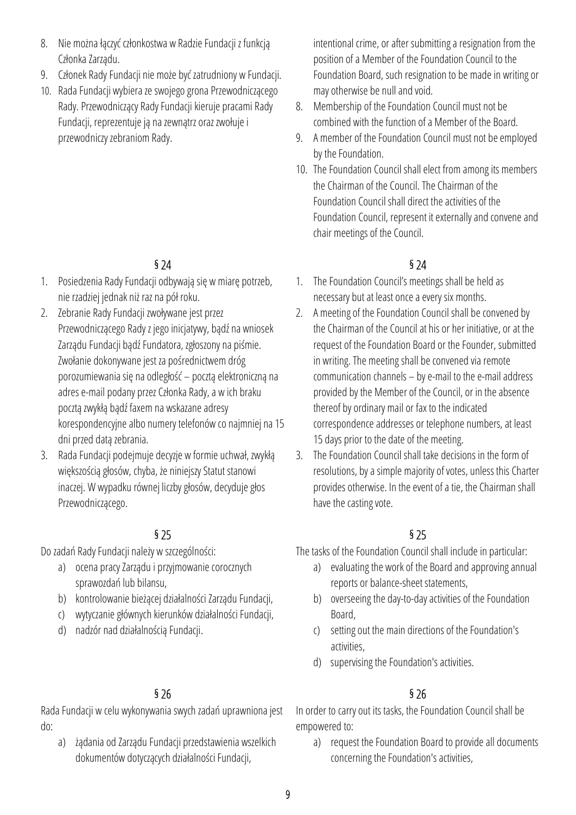- 8. Nie można łączyć członkostwa w Radzie Fundacji z funkcją Członka Zarządu.
- 9. Członek Rady Fundacji nie może być zatrudniony w Fundacji.
- 10. Rada Fundacji wybiera ze swojego grona Przewodniczącego Rady. Przewodniczący Rady Fundacji kieruje pracami Rady Fundacji, reprezentuje ją na zewnątrz oraz zwołuje i przewodniczy zebraniom Rady.

- 1. Posiedzenia Rady Fundacji odbywają się w miarę potrzeb, nie rzadziej jednak niż raz na pół roku.
- 2. Zebranie Rady Fundacji zwoływane jest przez Przewodniczącego Rady z jego inicjatywy, bądź na wniosek Zarządu Fundacji bądź Fundatora, zgłoszony na piśmie. Zwołanie dokonywane jest za pośrednictwem dróg porozumiewania się na odległość – pocztą elektroniczną na adres e-mail podany przez Członka Rady, a w ich braku pocztą zwykłą bądź faxem na wskazane adresy korespondencyjne albo numery telefonów co najmniej na 15 dni przed datą zebrania.
- 3. Rada Fundacji podejmuje decyzje w formie uchwał, zwykłą większością głosów, chyba, że niniejszy Statut stanowi inaczej. W wypadku równej liczby głosów, decyduje głos Przewodniczącego.

Do zadań Rady Fundacji należy w szczególności:

- a) ocena pracy Zarządu i przyjmowanie corocznych sprawozdań lub bilansu,
- b) kontrolowanie bieżącej działalności Zarządu Fundacji,
- c) wytyczanie głównych kierunków działalności Fundacji,
- d) nadzór nad działalnością Fundacji.

Rada Fundacji w celu wykonywania swych zadań uprawniona jest do:

a) żądania od Zarządu Fundacji przedstawienia wszelkich dokumentów dotyczących działalności Fundacji,

intentional crime, or after submitting a resignation from the position of a Member of the Foundation Council to the Foundation Board, such resignation to be made in writing or may otherwise be null and void.

- 8. Membership of the Foundation Council must not be combined with the function of a Member of the Board.
- 9. A member of the Foundation Council must not be employed by the Foundation.
- 10. The Foundation Council shall elect from among its members the Chairman of the Council. The Chairman of the Foundation Council shall direct the activities of the Foundation Council, represent it externally and convene and chair meetings of the Council.

## $\frac{1}{2}$  \$ 24

- 1. The Foundation Council's meetings shall be held as necessary but at least once a every six months.
- 2. A meeting of the Foundation Council shall be convened by the Chairman of the Council at his or her initiative, or at the request of the Foundation Board or the Founder, submitted in writing. The meeting shall be convened via remote communication channels – by e-mail to the e-mail address provided by the Member of the Council, or in the absence thereof by ordinary mail or fax to the indicated correspondence addresses or telephone numbers, at least 15 days prior to the date of the meeting.
- 3. The Foundation Council shall take decisions in the form of resolutions, by a simple majority of votes, unless this Charter provides otherwise. In the event of a tie, the Chairman shall have the casting vote.

## $\S 25$   $\S 25$

The tasks of the Foundation Council shall include in particular:

- a) evaluating the work of the Board and approving annual reports or balance-sheet statements,
- b) overseeing the day-to-day activities of the Foundation Board,
- c) setting out the main directions of the Foundation's activities,
- d) supervising the Foundation's activities.

# $\frac{1}{26}$  S 26

In order to carry out its tasks, the Foundation Council shall be empowered to:

a) request the Foundation Board to provide all documents concerning the Foundation's activities,